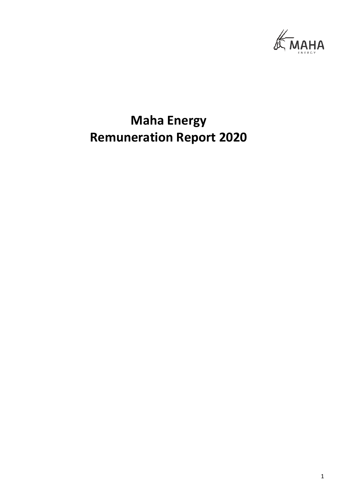

# **Maha Energy Remuneration Report 2020**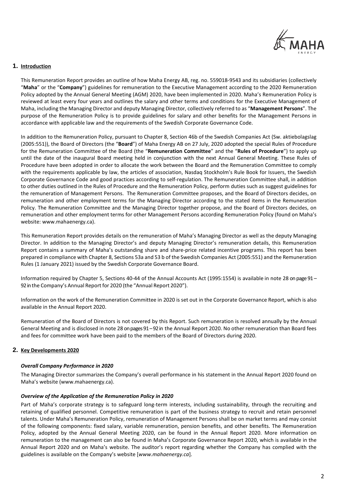

# **1. Introduction**

This Remuneration Report provides an outline of how Maha Energy AB, reg. no. 559018-9543 and its subsidiaries (collectively "**Maha**" or the "**Company**") guidelines for remuneration to the Executive Management according to the 2020 Remuneration Policy adopted by the Annual General Meeting (AGM) 2020, have been implemented in 2020. Maha's Remuneration Policy is reviewed at least every four years and outlines the salary and other terms and conditions for the Executive Management of Maha, including the Managing Director and deputy Managing Director, collectively referred to as "**Management Persons**". The purpose of the Remuneration Policy is to provide guidelines for salary and other benefits for the Management Persons in accordance with applicable law and the requirements of the Swedish Corporate Governance Code.

In addition to the Remuneration Policy, pursuant to Chapter 8, Section 46b of the Swedish Companies Act (Sw. aktiebolagslag (2005:551)), the Board of Directors (the "**Board**") of Maha Energy AB on 27 July, 2020 adopted the special Rules of Procedure for the Remuneration Committee of the Board (the "**Remuneration Committee**" and the "**Rules of Procedure**") to apply up until the date of the inaugural Board meeting held in conjunction with the next Annual General Meeting. These Rules of Procedure have been adopted in order to allocate the work between the Board and the Remuneration Committee to comply with the requirements applicable by law, the articles of association, Nasdaq Stockholm's Rule Book for Issuers, the Swedish Corporate Governance Code and good practices according to self-regulation. The Remuneration Committee shall, in addition to other duties outlined in the Rules of Procedure and the Remuneration Policy, perform duties such as suggest guidelines for the remuneration of Management Persons. The Remuneration Committee proposes, and the Board of Directors decides, on remuneration and other employment terms for the Managing Director according to the stated items in the Remuneration Policy. The Remuneration Committee and the Managing Director together propose, and the Board of Directors decides, on remuneration and other employment terms for other Management Persons according Remuneration Policy (found on Maha's website: www.mahaenergy.ca).

This Remuneration Report provides details on the remuneration of Maha's Managing Director as well as the deputy Managing Director. In addition to the Managing Director's and deputy Managing Director's remuneration details, this Remuneration Report contains a summary of Maha's outstanding share and share-price related incentive programs. This report has been prepared in compliance with Chapter 8, Sections 53a and 53 b of the Swedish Companies Act (2005:551) and the Remuneration Rules (1 January 2021) issued by the Swedish Corporate Governance Board.

Information required by Chapter 5, Sections 40-44 of the Annual Accounts Act (1995:1554) is available in note 28 on page 91 – 92 in the Company's Annual Report for 2020 (the "Annual Report 2020").

Information on the work of the Remuneration Committee in 2020 is set out in the Corporate Governance Report, which is also available in the Annual Report 2020.

Remuneration of the Board of Directors is not covered by this Report. Such remuneration is resolved annually by the Annual General Meeting and is disclosed in note 28 on pages 91 –92 in the Annual Report 2020. No other remuneration than Board fees and fees for committee work have been paid to the members of the Board of Directors during 2020.

## **2. Key Developments 2020**

## *Overall Company Performance in 2020*

The Managing Director summarizes the Company's overall performance in his statement in the Annual Report 2020 found on Maha's website (www.mahaenergy.ca).

#### *Overview of the Application of the Remuneration Policy in 2020*

Part of Maha's corporate strategy is to safeguard long-term interests, including sustainability, through the recruiting and retaining of qualified personnel. Competitive remuneration is part of the business strategy to recruit and retain personnel talents. Under Maha's Remuneration Policy, remuneration of Management Persons shall be on market terms and may consist of the following components: fixed salary, variable remuneration, pension benefits, and other benefits. The Remuneration Policy, adopted by the Annual General Meeting 2020, can be found in the Annual Report 2020. More information on remuneration to the management can also be found in Maha's Corporate Governance Report 2020, which is available in the Annual Report 2020 and on Maha's website. The auditor's report regarding whether the Company has complied with the guidelines is available on the Company's website [*www.mahaenergy.ca*].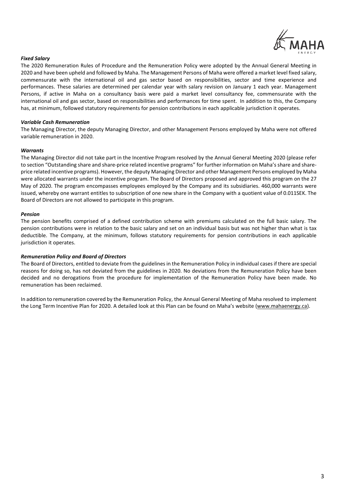

## *Fixed Salary*

The 2020 Remuneration Rules of Procedure and the Remuneration Policy were adopted by the Annual General Meeting in 2020 and have been upheld and followed by Maha. The Management Persons of Maha were offered a market level fixed salary, commensurate with the international oil and gas sector based on responsibilities, sector and time experience and performances. These salaries are determined per calendar year with salary revision on January 1 each year. Management Persons, if active in Maha on a consultancy basis were paid a market level consultancy fee, commensurate with the international oil and gas sector, based on responsibilities and performances for time spent. In addition to this, the Company has, at minimum, followed statutory requirements for pension contributions in each applicable jurisdiction it operates.

## *Variable Cash Remuneration*

The Managing Director, the deputy Managing Director, and other Management Persons employed by Maha were not offered variable remuneration in 2020.

## *Warrants*

The Managing Director did not take part in the Incentive Program resolved by the Annual General Meeting 2020 (please refer to section "Outstanding share and share-price related incentive programs" for further information on Maha's share and shareprice related incentive programs). However, the deputy Managing Director and other Management Persons employed by Maha were allocated warrants under the incentive program. The Board of Directors proposed and approved this program on the 27 May of 2020. The program encompasses employees employed by the Company and its subsidiaries. 460,000 warrants were issued, whereby one warrant entitles to subscription of one new share in the Company with a quotient value of 0.011SEK. The Board of Directors are not allowed to participate in this program.

#### *Pension*

The pension benefits comprised of a defined contribution scheme with premiums calculated on the full basic salary. The pension contributions were in relation to the basic salary and set on an individual basis but was not higher than what is tax deductible. The Company, at the minimum, follows statutory requirements for pension contributions in each applicable jurisdiction it operates.

#### *Remuneration Policy and Board of Directors*

The Board of Directors, entitled to deviate from the guidelines in the Remuneration Policy in individual cases if there are special reasons for doing so, has not deviated from the guidelines in 2020. No deviations from the Remuneration Policy have been decided and no derogations from the procedure for implementation of the Remuneration Policy have been made. No remuneration has been reclaimed.

In addition to remuneration covered by the Remuneration Policy, the Annual General Meeting of Maha resolved to implement the Long Term Incentive Plan for 2020. A detailed look at this Plan can be found on Maha's website [\(www.mahaenergy.ca\)](http://www.mahaenergy.ca/).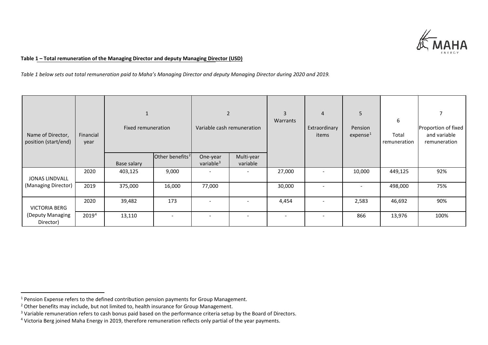<span id="page-3-3"></span><span id="page-3-2"></span><span id="page-3-1"></span><span id="page-3-0"></span>

# **Table 1 – Total remuneration of the Managing Director and deputy Managing Director (USD)**

*Table 1 below sets out total remuneration paid to Maha's Managing Director and deputy Managing Director during 2020 and 2019.*

| Name of Director,<br>position (start/end) | Financial<br>year | Fixed remuneration |                             | 2<br>Variable cash remuneration   |                        | $\overline{3}$<br>Warrants | $\overline{4}$<br>Extraordinary<br>items | 5<br>Pension<br>expense <sup>1</sup> | 6<br>Total<br>remuneration | 7<br>Proportion of fixed<br>and variable<br>remuneration |
|-------------------------------------------|-------------------|--------------------|-----------------------------|-----------------------------------|------------------------|----------------------------|------------------------------------------|--------------------------------------|----------------------------|----------------------------------------------------------|
|                                           |                   |                    | Other benefits <sup>2</sup> | One-year<br>variable <sup>3</sup> | Multi-year<br>variable |                            |                                          |                                      |                            |                                                          |
|                                           |                   | Base salary        |                             |                                   |                        |                            |                                          |                                      |                            |                                                          |
| JONAS LINDVALL                            | 2020              | 403,125            | 9,000                       |                                   |                        | 27,000                     |                                          | 10,000                               | 449,125                    | 92%                                                      |
| (Managing Director)                       | 2019              | 375,000            | 16,000                      | 77,000                            |                        | 30,000                     |                                          | $\overline{\phantom{a}}$             | 498,000                    | 75%                                                      |
| <b>VICTORIA BERG</b>                      | 2020              | 39,482             | 173                         |                                   |                        | 4,454                      | $\overline{\phantom{0}}$                 | 2,583                                | 46,692                     | 90%                                                      |
| (Deputy Managing<br>Director)             | 20194             | 13,110             |                             |                                   |                        | $\overline{\phantom{a}}$   |                                          | 866                                  | 13,976                     | 100%                                                     |

<sup>&</sup>lt;sup>1</sup> Pension Expense refers to the defined contribution pension payments for Group Management.<br><sup>2</sup> Other benefits may include, but not limited to, health insurance for Group Management.

<sup>&</sup>lt;sup>3</sup> Variable remuneration refers to cash bonus paid based on the performance criteria setup by the Board of Directors.

<sup>4</sup> Victoria Berg joined Maha Energy in 2019, therefore remuneration reflects only partial of the year payments.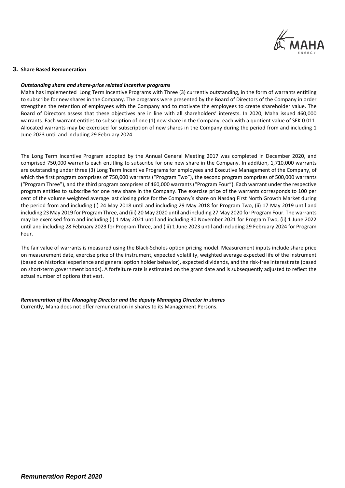

**3. Share Based Remuneration**

#### *Outstanding share and share-price related incentive programs*

Maha has implemented Long Term Incentive Programs with Three (3) currently outstanding, in the form of warrants entitling to subscribe for new shares in the Company. The programs were presented by the Board of Directors of the Company in order strengthen the retention of employees with the Company and to motivate the employees to create shareholder value. The Board of Directors assess that these objectives are in line with all shareholders' interests. In 2020, Maha issued 460,000 warrants. Each warrant entitles to subscription of one (1) new share in the Company, each with a quotient value of SEK 0.011. Allocated warrants may be exercised for subscription of new shares in the Company during the period from and including 1 June 2023 until and including 29 February 2024.

The Long Term Incentive Program adopted by the Annual General Meeting 2017 was completed in December 2020, and comprised 750,000 warrants each entitling to subscribe for one new share in the Company. In addition, 1,710,000 warrants are outstanding under three (3) Long Term Incentive Programs for employees and Executive Management of the Company, of which the first program comprises of 750,000 warrants ("Program Two"), the second program comprises of 500,000 warrants ("Program Three"), and the third program comprises of 460,000 warrants ("Program Four"). Each warrant under the respective program entitles to subscribe for one new share in the Company. The exercise price of the warrants corresponds to 100 per cent of the volume weighted average last closing price for the Company's share on Nasdaq First North Growth Market during the period from and including (i) 24 May 2018 until and including 29 May 2018 for Program Two, (ii) 17 May 2019 until and including 23 May 2019 for Program Three, and (iii) 20 May 2020 until and including 27 May 2020 for Program Four. The warrants may be exercised from and including (i) 1 May 2021 until and including 30 November 2021 for Program Two, (ii) 1 June 2022 until and including 28 February 2023 for Program Three, and (iii) 1 June 2023 until and including 29 February 2024 for Program Four.

The fair value of warrants is measured using the Black-Scholes option pricing model. Measurement inputs include share price on measurement date, exercise price of the instrument, expected volatility, weighted average expected life of the instrument (based on historical experience and general option holder behavior), expected dividends, and the risk-free interest rate (based on short-term government bonds). A forfeiture rate is estimated on the grant date and is subsequently adjusted to reflect the actual number of options that vest.

#### *Remuneration of the Managing Director and the deputy Managing Director in shares*

Currently, Maha does not offer remuneration in shares to its Management Persons.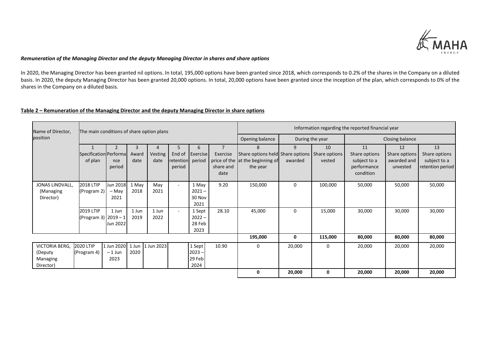

# *Remuneration of the Managing Director and the deputy Managing Director in shares and share options*

In 2020, the Managing Director has been granted nil options. In total, 195,000 options have been granted since 2018, which corresponds to 0.2% of the shares in the Company on a diluted basis. In 2020, the deputy Managing Director has been granted 20,000 options. In total, 20,000 options have been granted since the inception of the plan, which corresponds to 0% of the shares in the Company on a diluted basis.

# **Table 2 – Remuneration of the Managing Director and the deputy Managing Director in share options**

| Name of Director, | The main conditions of share option plans |                  |       |            |                  |          |                | Information regarding the reported financial year |                 |         |                 |               |                  |
|-------------------|-------------------------------------------|------------------|-------|------------|------------------|----------|----------------|---------------------------------------------------|-----------------|---------|-----------------|---------------|------------------|
| position          |                                           |                  |       |            |                  |          |                | Opening balance                                   | During the year |         | Closing balance |               |                  |
|                   | $\mathbf{1}$                              | $\overline{2}$   | 3     | 4          | 5                | 6        | $\overline{7}$ | 8                                                 | 9               | 10      | 11              | 12            | 13               |
|                   | Specification Performa                    |                  | Award | Vesting    | End of           | Exercise | Exercise       | Share options held Share options   Share options  |                 |         | Share options   | Share options | Share options    |
|                   | of plan                                   | nce              | date  | date       | retention period |          |                | price of the at the beginning of                  | awarded         | vested  | subject to a    | awarded and   | subject to a     |
|                   |                                           | period           |       |            | period           |          | share and      | the year                                          |                 |         | performance     | unvested      | retention period |
|                   |                                           |                  |       |            |                  |          | date           |                                                   |                 |         | condition       |               |                  |
| JONAS LINDVALL,   | 2018 LTIP                                 | Jun 2018         | 1 May | May        | $\sim$           | 1 May    | 9.20           | 150,000                                           | 0               | 100,000 | 50,000          | 50,000        | 50,000           |
| (Managing         | (Program 2)                               | - May            | 2018  | 2021       |                  | $2021 -$ |                |                                                   |                 |         |                 |               |                  |
| Director)         |                                           | 2021             |       |            |                  | 30 Nov   |                |                                                   |                 |         |                 |               |                  |
|                   |                                           |                  |       |            |                  | 2021     |                |                                                   |                 |         |                 |               |                  |
|                   | 2019 LTIP                                 | 1 Jun            | 1 Jun | 1 Jun      | $\sim$           | 1 Sept   | 28.10          | 45,000                                            | $\mathbf 0$     | 15,000  | 30,000          | 30,000        | 30,000           |
|                   | (Program 3)   2019 - 1                    |                  | 2019  | 2022       |                  | $2022 -$ |                |                                                   |                 |         |                 |               |                  |
|                   |                                           | Jun 2022         |       |            |                  | 28 Feb   |                |                                                   |                 |         |                 |               |                  |
|                   |                                           |                  |       |            |                  | 2023     |                |                                                   |                 |         |                 |               |                  |
|                   |                                           |                  |       |            |                  |          |                | 195,000                                           | 0               | 115,000 | 80,000          | 80,000        | 80,000           |
| VICTORIA BERG,    | 2020 LTIP                                 | 1 Jun 2020 1 Jun |       | 1 Jun 2023 |                  | 1 Sept   | 10.90          | 0                                                 | 20,000          | 0       | 20,000          | 20,000        | 20,000           |
| (Deputy           | (Program 4)                               | $-1$ Jun         | 2020  |            |                  | $2023 -$ |                |                                                   |                 |         |                 |               |                  |
| Managing          |                                           | 2023             |       |            |                  | 29 Feb   |                |                                                   |                 |         |                 |               |                  |
| Director)         |                                           |                  |       |            |                  | 2024     |                |                                                   |                 |         |                 |               |                  |
|                   |                                           |                  |       |            |                  |          |                | 0                                                 | 20,000          | 0       | 20,000          | 20,000        | 20,000           |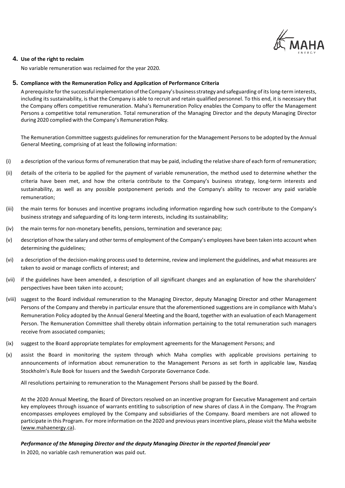

## **4. Use of the right to reclaim**

No variable remuneration was reclaimed for the year 2020.

## **5. Compliance with the Remuneration Policy and Application of Performance Criteria**

A prerequisite forthe successful implementation ofthe Company's businessstrategy and safeguarding of its long-term interests, including its sustainability, is that the Company is able to recruit and retain qualified personnel. To this end, it is necessary that the Company offers competitive remuneration. Maha's Remuneration Policy enables the Company to offer the Management Persons a competitive total remuneration. Total remuneration of the Managing Director and the deputy Managing Director during 2020 complied with the Company's Remuneration Policy.

The Remuneration Committee suggests guidelines for remuneration for the Management Persons to be adopted by the Annual General Meeting, comprising of at least the following information:

- (i) a description of the various forms of remuneration that may be paid, including the relative share of each form of remuneration;
- (ii) details of the criteria to be applied for the payment of variable remuneration, the method used to determine whether the criteria have been met, and how the criteria contribute to the Company's business strategy, long-term interests and sustainability, as well as any possible postponement periods and the Company's ability to recover any paid variable remuneration;
- (iii) the main terms for bonuses and incentive programs including information regarding how such contribute to the Company's business strategy and safeguarding of its long-term interests, including its sustainability;
- (iv) the main terms for non-monetary benefits, pensions, termination and severance pay;
- (v) description of how the salary and other terms of employment of the Company's employees have been taken into account when determining the guidelines;
- (vi) a description of the decision-making process used to determine, review and implement the guidelines, and what measures are taken to avoid or manage conflicts of interest; and
- (vii) if the guidelines have been amended, a description of all significant changes and an explanation of how the shareholders' perspectives have been taken into account;
- (viii) suggest to the Board individual remuneration to the Managing Director, deputy Managing Director and other Management Persons of the Company and thereby in particular ensure that the aforementioned suggestions are in compliance with Maha's Remuneration Policy adopted by the Annual General Meeting and the Board, together with an evaluation of each Management Person. The Remuneration Committee shall thereby obtain information pertaining to the total remuneration such managers receive from associated companies;
- (ix) suggest to the Board appropriate templates for employment agreements for the Management Persons; and
- (x) assist the Board in monitoring the system through which Maha complies with applicable provisions pertaining to announcements of information about remuneration to the Management Persons as set forth in applicable law, Nasdaq Stockholm's Rule Book for Issuers and the Swedish Corporate Governance Code.

All resolutions pertaining to remuneration to the Management Persons shall be passed by the Board.

At the 2020 Annual Meeting, the Board of Directors resolved on an incentive program for Executive Management and certain key employees through issuance of warrants entitling to subscription of new shares of class A in the Company. The Program encompasses employees employed by the Company and subsidiaries of the Company. Board members are not allowed to participate in this Program. For more information on the 2020 and previous years incentive plans, please visit the Maha website [\(www.mahaenergy.ca\)](http://www.mahaenergy.ca/).

## *Performance of the Managing Director and the deputy Managing Director in the reported financial year*

In 2020, no variable cash remuneration was paid out.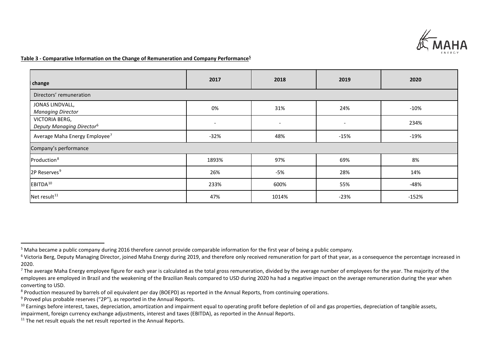<span id="page-7-6"></span><span id="page-7-5"></span><span id="page-7-4"></span><span id="page-7-3"></span><span id="page-7-2"></span><span id="page-7-1"></span><span id="page-7-0"></span>

# **Table 3 - Comparative Information on the Change of Remuneration and Company Performance[5](#page-7-0)**

| change                                                  | 2017                     | 2018                     | 2019              | 2020    |  |  |  |  |  |
|---------------------------------------------------------|--------------------------|--------------------------|-------------------|---------|--|--|--|--|--|
| Directors' remuneration                                 |                          |                          |                   |         |  |  |  |  |  |
| JONAS LINDVALL,<br><b>Managing Director</b>             | 0%                       | 31%                      | 24%               | $-10%$  |  |  |  |  |  |
| VICTORIA BERG,<br>Deputy Managing Director <sup>6</sup> | $\overline{\phantom{a}}$ | $\overline{\phantom{a}}$ | $\qquad \qquad -$ | 234%    |  |  |  |  |  |
| Average Maha Energy Employee <sup>7</sup>               | $-32%$                   | 48%                      | $-15%$            | $-19%$  |  |  |  |  |  |
| Company's performance                                   |                          |                          |                   |         |  |  |  |  |  |
| Production <sup>8</sup>                                 | 1893%                    | 97%                      | 69%               | 8%      |  |  |  |  |  |
| 2P Reserves <sup>9</sup>                                | 26%                      | $-5%$                    | 28%               | 14%     |  |  |  |  |  |
| EBITDA <sup>10</sup>                                    | 233%                     | 600%                     | 55%               | $-48%$  |  |  |  |  |  |
| Net result <sup>11</sup>                                | 47%                      | 1014%                    | $-23%$            | $-152%$ |  |  |  |  |  |

<sup>&</sup>lt;sup>5</sup> Maha became a public company during 2016 therefore cannot provide comparable information for the first year of being a public company.<br><sup>6</sup> Victoria Berg, Deputy Managing Director, joined Maha Energy during 2019, and th 2020.

 $^7$  The average Maha Energy employee figure for each year is calculated as the total gross remuneration, divided by the average number of employees for the year. The majority of the employees are employed in Brazil and the weakening of the Brazilian Reals compared to USD during 2020 ha had a negative impact on the average remuneration during the year when converting to USD.

<sup>&</sup>lt;sup>8</sup> Production measured by barrels of oil equivalent per day (BOEPD) as reported in the Annual Reports, from continuing operations.<br><sup>9</sup> Proved plus probable reserves ("2P"), as reported in the Annual Reports.

<sup>&</sup>lt;sup>10</sup> Earnings before interest, taxes, depreciation, amortization and impairment equal to operating profit before depletion of oil and gas properties, depreciation of tangible assets, impairment, foreign currency exchange adjustments, interest and taxes (EBITDA), as reported in the Annual Reports.

 $11$  The net result equals the net result reported in the Annual Reports.